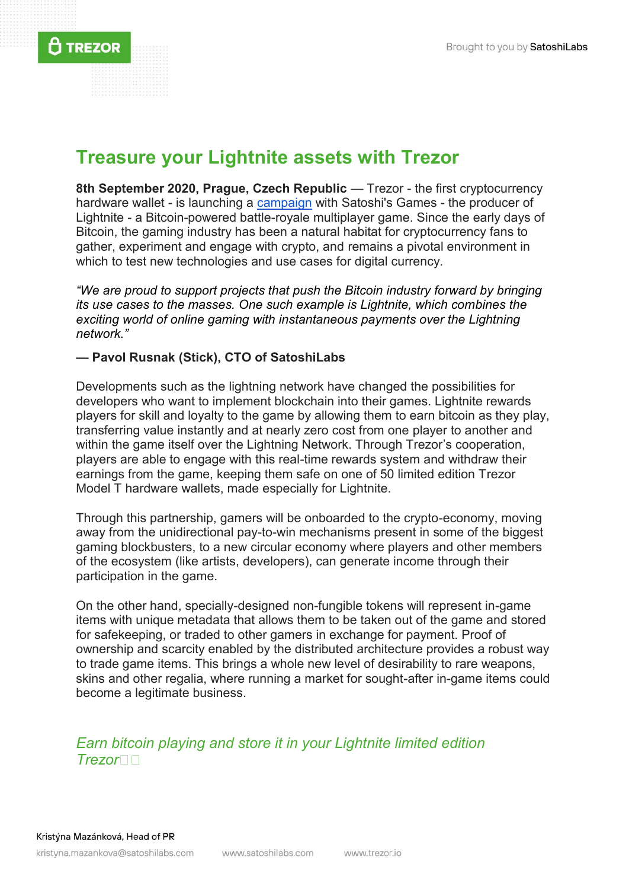**8th September 2020, Prague, Czech Republic — Trezor - the first cryptocurrency** hardware wallet - is launching a [campaign](https://trezor.lightnite.io/) with Satoshi's Games - the producer of Lightnite - a Bitcoin-powered battle-royale multiplayer game. Since the early days of Bitcoin, the gaming industry has been a natural habitat for cryptocurrency fans to gather, experiment and engage with crypto, and remains a pivotal environment in which to test new technologies and use cases for digital currency.

*"We are proud to support projects that push the Bitcoin industry forward by bringing its use cases to the masses. One such example is Lightnite, which combines the exciting world of online gaming with instantaneous payments over the Lightning network."*

## **— Pavol Rusnak (Stick), CTO of SatoshiLabs**

 $\bf\hat{a}$  Trezor

Developments such as the [lightning network](https://wiki.trezor.io/Lightning_network) have changed the possibilities for developers who want to implement blockchain into their games. Lightnite rewards players for skill and loyalty to the game by allowing them to earn bitcoin as they play, transferring value instantly and at nearly zero cost from one player to another and within the game itself over the Lightning Network. Through Trezor's cooperation, players are able to engage with this real-time rewards system and withdraw their earnings from the game, keeping them safe on one of 50 limited edition Trezor Model T hardware wallets, made especially for Lightnite.

Through this partnership, gamers will be onboarded to the crypto-economy, moving away from the unidirectional pay-to-win mechanisms present in some of the biggest gaming blockbusters, to a new circular economy where players and other members of the ecosystem (like artists, developers), can generate income through their participation in the game.

On the other hand, specially-designed non-fungible tokens will represent in-game items with unique metadata that allows them to be taken out of the game and stored for safekeeping, or traded to other gamers in exchange for payment. Proof of ownership and scarcity enabled by the distributed architecture provides a robust way to trade game items. This brings a whole new level of desirability to rare weapons, skins and other regalia, where running a market for sought-after in-game items could become a legitimate business.

*Earn bitcoin playing and store it in your Lightnite limited edition Trezor*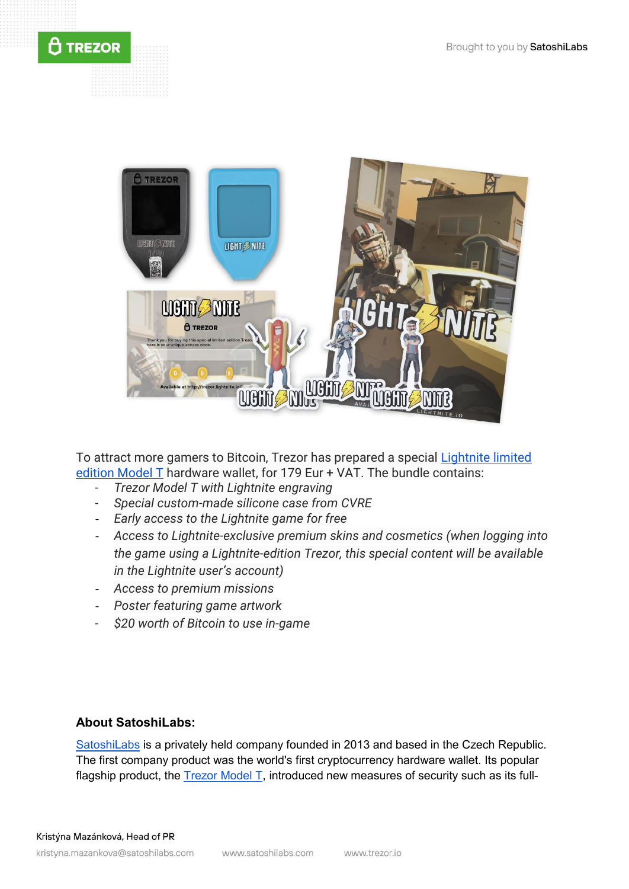



To attract more gamers to Bitcoin, Trezor has prepared a special [Lightnite limited](https://shop.trezor.io/product/lightnite-game-bundle)  [edition Model T](https://shop.trezor.io/product/lightnite-game-bundle) hardware wallet, for 179 Eur + VAT. The bundle contains:

- *Trezor Model T with Lightnite engraving*
- *Special custom-made silicone case from CVRE*
- *Early access to the Lightnite game for free*
- *Access to Lightnite-exclusive premium skins and cosmetics (when logging into the game using a Lightnite-edition Trezor, this special content will be available in the Lightnite user's account)*
- *Access to premium missions*
- *Poster featuring game artwork*
- *\$20 worth of Bitcoin to use in-game*

## **About SatoshiLabs:**

[SatoshiLabs](https://satoshilabs.com/) is a privately held company founded in 2013 and based in the Czech Republic. The first company product was the world's first cryptocurrency hardware wallet. Its popular flagship product, the **Trezor Model T**, introduced new measures of security such as its full-